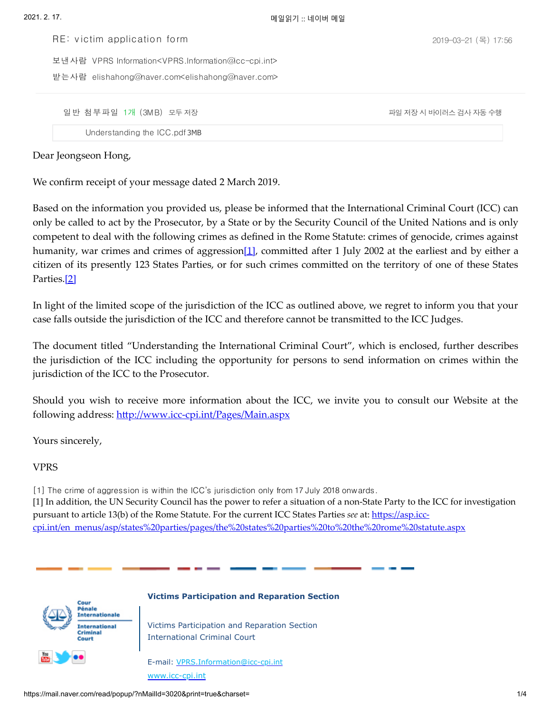2019-03-21 (목) 17:56

VPRS Information<VPRS.Information@icc-cpi.int> 보낸사람

elishahong@naver.com<elishahong@naver.com> 받는사람

일 반 첨 부 파일 1개(3MB)모두 저장 가격하는 가족 가족 지정 지 아이러스 기대 자동 수행 지장 시 바이러스 검사 자동 수행

RE: v ictim application form

<span id="page-0-0"></span>[Understanding](https://download.mail.naver.com/file/download/each/?attachType=normal&mailSN=3020&attachIndex=9&virus=1&domain=mail.naver.com&u=elishahong) the ICC.pdf 3MB

Dear Jeongseon Hong,

We confirm receipt of your message dated 2 March 2019.

Based on the information you provided us, please be informed that the International Criminal Court (ICC) can only be called to act by the Prosecutor, by a State or by the Security Council of the United Nations and is only competent to deal with the following crimes as defined in the Rome Statute: crimes of genocide, crimes against humanity, war crimes and crimes of aggression $[1]$ , committed after 1 July 2002 at the earliest and by either a citizen of its presently 123 States Parties, or for such crimes committed on the territory of one of these States Parties[.\[2\]](#page-3-1)

<span id="page-0-1"></span>In light of the limited scope of the jurisdiction of the ICC as outlined above, we regret to inform you that your case falls outside the jurisdiction of the ICC and therefore cannot be transmitted to the ICC Judges.

The document titled "Understanding the International Criminal Court", which is enclosed, further describes the jurisdiction of the ICC including the opportunity for persons to send information on crimes within the jurisdiction of the ICC to the Prosecutor.

Should you wish to receive more information about the ICC, we invite you to consult our Website at the following address: http://www.icc-cpi.int/Pages/Main.aspx

Yours sincerely,

## VPRS

[1] The crime of aggression is within the ICC's jurisdiction only from 17 July 2018 onwards. [1] In addition, the UN Security Council has the power to refer a situation of a non-State Party to the ICC for investigation pursuant to article 13(b) of the Rome Statute. For the current ICC States Parties *see* at: https://asp.icc[cpi.int/en\\_menus/asp/states%20parties/pages/the%20states%20parties%20to%20the%20rome%20statute.aspx](https://asp.icc-cpi.int/en_menus/asp/states%20parties/pages/the%20states%20parties%20to%20the%20rome%20statute.aspx)



## **Victims Participation and Reparation Section**

Victims Participation and Reparation Section International Criminal Court

E-mail: [VPRS.Information@icc-cpi.int](mailto:VPRS.Information@icc-cpi.int) [www.icc-cpi.int](https://mail.naver.com/read/popup/www.icc-cpi.int)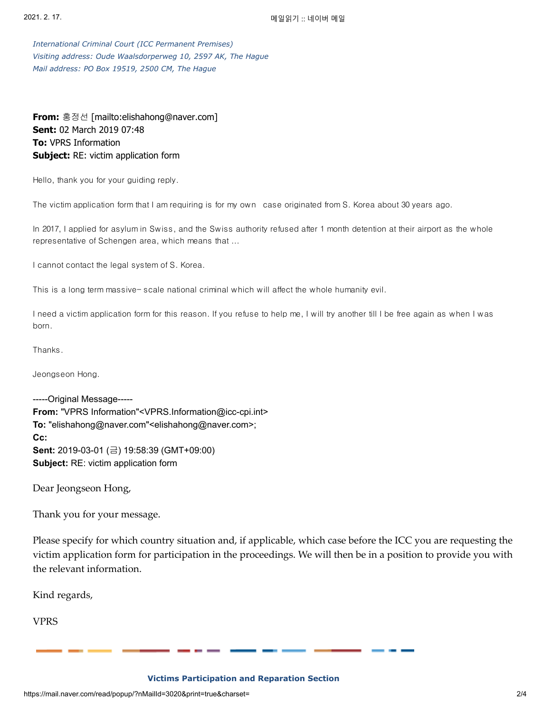*International Criminal Court (ICC Permanent Premises) Visiting address: Oude Waalsdorperweg 10, 2597 AK, The Hague Mail address: PO Box 19519, 2500 CM, The Hague*

**From:** 홍정선 [mailto:elishahong@naver.com] **Sent:** 02 March 2019 07:48 **To:** VPRS Information **Subject:** RE: victim application form

Hello, thank you for your guiding reply.

The victim application form that I am requiring is for my own case originated from S. Korea about 30 years ago.

In 2017, I applied for asylum in Swiss, and the Swiss authority refused after 1 month detention at their airport as the whole representative of Schengen area, which means that ...

I cannot contact the legal system of S. Korea.

This is a long term massive- scale national criminal which will affect the whole humanity evil.

I need a victim application form for this reason. If you refuse to help me, I will try another till I be free again as when I was born.

Thanks.

Jeongseon Hong.

-----Original Message----- **From:** "VPRS Information"<VPRS.Information@icc-cpi.int> **To:** "elishahong@naver.com"<elishahong@naver.com>; **Cc: Sent:** 2019-03-01 (금) 19:58:39 (GMT+09:00) **Subject:** RE: victim application form

Dear Jeongseon Hong,

Thank you for your message.

Please specify for which country situation and, if applicable, which case before the ICC you are requesting the victim application form for participation in the proceedings. We will then be in a position to provide you with the relevant information.

Kind regards,

VPRS

**Victims Participation and Reparation Section**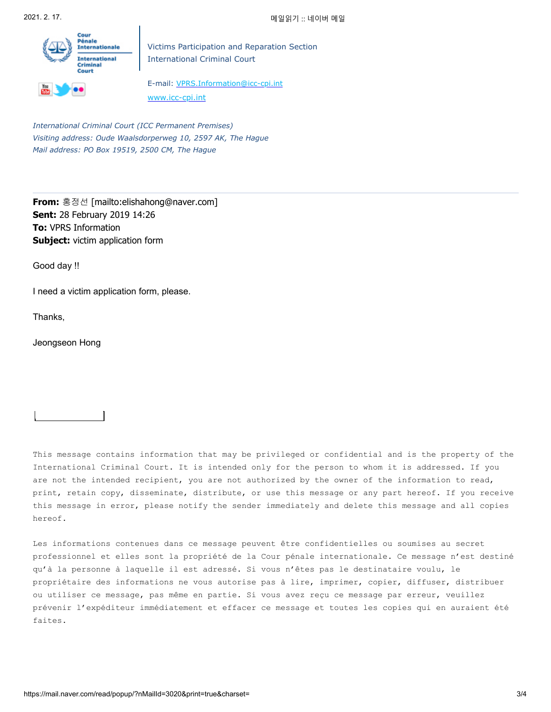

Victims Participation and Reparation Section International Criminal Court

E-mail: [VPRS.Information@icc-cpi.int](mailto:VPRS.Information@icc-cpi.int) [www.icc-cpi.int](https://mail.naver.com/read/popup/www.icc-cpi.int)

*International Criminal Court (ICC Permanent Premises) Visiting address: Oude Waalsdorperweg 10, 2597 AK, The Hague Mail address: PO Box 19519, 2500 CM, The Hague*

**From:** 홍정선 [mailto:elishahong@naver.com] **Sent:** 28 February 2019 14:26 **To:** VPRS Information **Subject:** victim application form

Good day !!

I need a victim application form, please.

Thanks,

Jeongseon Hong

This message contains information that may be privileged or confidential and is the property of the International Criminal Court. It is intended only for the person to whom it is addressed. If you are not the intended recipient, you are not authorized by the owner of the information to read, print, retain copy, disseminate, distribute, or use this message or any part hereof. If you receive this message in error, please notify the sender immediately and delete this message and all copies hereof.

Les informations contenues dans ce message peuvent être confidentielles ou soumises au secret professionnel et elles sont la propriété de la Cour pénale internationale. Ce message n'est destiné qu'à la personne à laquelle il est adressé. Si vous n'êtes pas le destinataire voulu, le propriétaire des informations ne vous autorise pas à lire, imprimer, copier, diffuser, distribuer ou utiliser ce message, pas même en partie. Si vous avez reçu ce message par erreur, veuillez prévenir l'expéditeur immédiatement et effacer ce message et toutes les copies qui en auraient été faites.